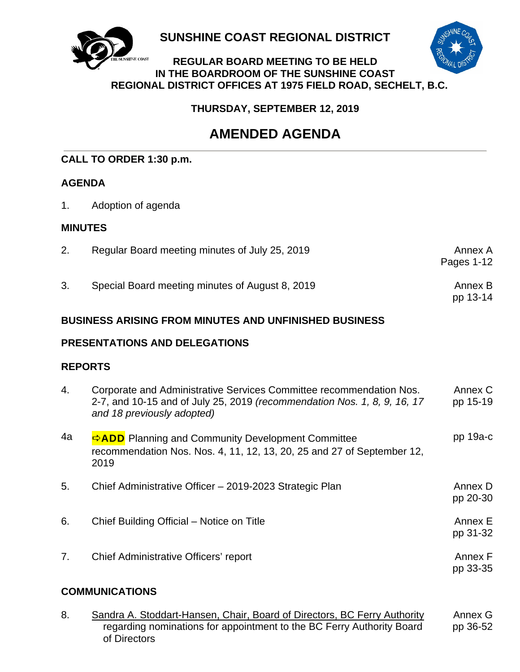

**SUNSHINE COAST REGIONAL DISTRICT** 

### **REGULAR BOARD MEETING TO BE HELD IN THE BOARDROOM OF THE SUNSHINE COAST REGIONAL DISTRICT OFFICES AT 1975 FIELD ROAD, SECHELT, B.C.**

 **THURSDAY, SEPTEMBER 12, 2019**

# **AMENDED AGENDA**

# **CALL TO ORDER 1:30 p.m.**

# **AGENDA**

1. Adoption of agenda

# **MINUTES**

| 2.                                                           | Regular Board meeting minutes of July 25, 2019                                                                                                                                | Annex A<br>Pages 1-12 |  |
|--------------------------------------------------------------|-------------------------------------------------------------------------------------------------------------------------------------------------------------------------------|-----------------------|--|
| 3.                                                           | Special Board meeting minutes of August 8, 2019                                                                                                                               | Annex B<br>pp 13-14   |  |
| <b>BUSINESS ARISING FROM MINUTES AND UNFINISHED BUSINESS</b> |                                                                                                                                                                               |                       |  |
| PRESENTATIONS AND DELEGATIONS                                |                                                                                                                                                                               |                       |  |
| <b>REPORTS</b>                                               |                                                                                                                                                                               |                       |  |
| 4.                                                           | Corporate and Administrative Services Committee recommendation Nos.<br>2-7, and 10-15 and of July 25, 2019 (recommendation Nos. 1, 8, 9, 16, 17<br>and 18 previously adopted) | Annex C<br>pp 15-19   |  |
| 4a                                                           | ADD Planning and Community Development Committee<br>recommendation Nos. Nos. 4, 11, 12, 13, 20, 25 and 27 of September 12,<br>2019                                            | pp 19a-c              |  |
| 5.                                                           | Chief Administrative Officer - 2019-2023 Strategic Plan                                                                                                                       | Annex D<br>pp 20-30   |  |
| 6.                                                           | Chief Building Official – Notice on Title                                                                                                                                     | Annex E<br>pp 31-32   |  |
| 7.                                                           | Chief Administrative Officers' report                                                                                                                                         | Annex F<br>pp 33-35   |  |
| <b>COMMUNICATIONS</b>                                        |                                                                                                                                                                               |                       |  |

8. Sandra A. Stoddart-Hansen, Chair, Board of Directors, BC Ferry Authority regarding nominations for appointment to the BC Ferry Authority Board of Directors Annex G pp 36-52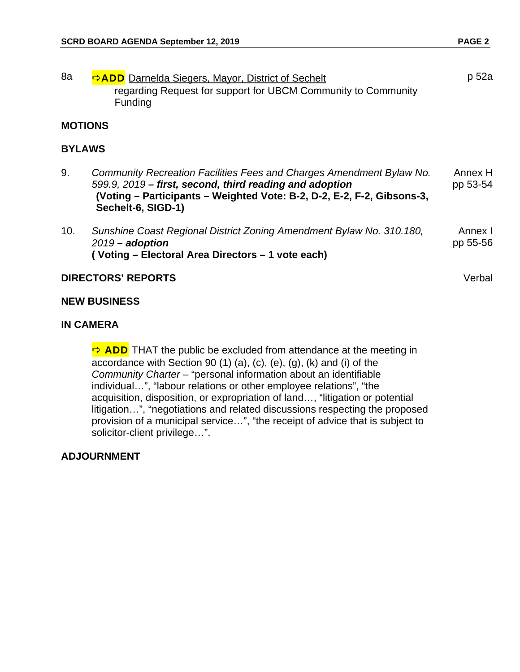| 8a                        | <b>ADD</b> Darnelda Siegers, Mayor, District of Sechelt<br>regarding Request for support for UBCM Community to Community<br>Funding                                                                                             | p 52a               |  |
|---------------------------|---------------------------------------------------------------------------------------------------------------------------------------------------------------------------------------------------------------------------------|---------------------|--|
| <b>MOTIONS</b>            |                                                                                                                                                                                                                                 |                     |  |
| <b>BYLAWS</b>             |                                                                                                                                                                                                                                 |                     |  |
| 9.                        | Community Recreation Facilities Fees and Charges Amendment Bylaw No.<br>599.9, 2019 – first, second, third reading and adoption<br>(Voting – Participants – Weighted Vote: B-2, D-2, E-2, F-2, Gibsons-3,<br>Sechelt-6, SIGD-1) | Annex H<br>pp 53-54 |  |
| 10.                       | Sunshine Coast Regional District Zoning Amendment Bylaw No. 310.180,<br>$2019$ – adoption<br>(Voting - Electoral Area Directors - 1 vote each)                                                                                  | Annex I<br>pp 55-56 |  |
| <b>DIRECTORS' REPORTS</b> |                                                                                                                                                                                                                                 | Verbal              |  |

#### **NEW BUSINESS**

#### **IN CAMERA**

 $\Rightarrow$  ADD THAT the public be excluded from attendance at the meeting in accordance with Section 90 (1) (a), (c), (e), (g), (k) and (i) of the *Community Charter* – "personal information about an identifiable individual…", "labour relations or other employee relations", "the acquisition, disposition, or expropriation of land…, "litigation or potential litigation…", "negotiations and related discussions respecting the proposed provision of a municipal service…", "the receipt of advice that is subject to solicitor-client privilege…".

#### **ADJOURNMENT**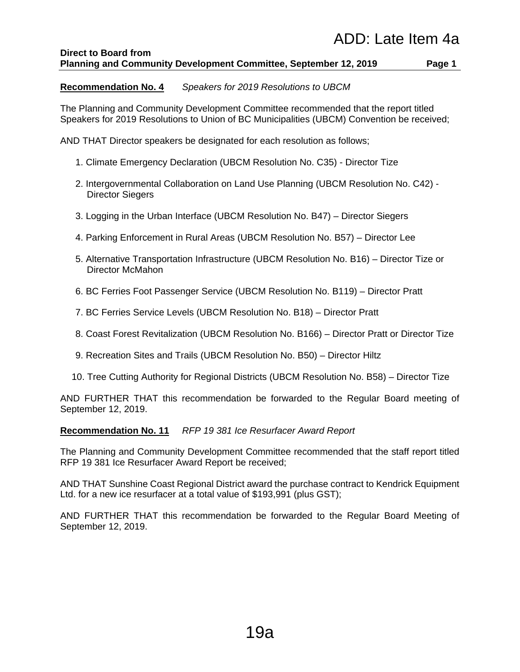#### **Direct to Board from Planning and Community Development Committee, September 12, 2019 Page 1**

#### **Recommendation No. 4** *Speakers for 2019 Resolutions to UBCM*

The Planning and Community Development Committee recommended that the report titled Speakers for 2019 Resolutions to Union of BC Municipalities (UBCM) Convention be received;

AND THAT Director speakers be designated for each resolution as follows;

- 1. Climate Emergency Declaration (UBCM Resolution No. C35) Director Tize
- 2. Intergovernmental Collaboration on Land Use Planning (UBCM Resolution No. C42) Director Siegers
- 3. Logging in the Urban Interface (UBCM Resolution No. B47) Director Siegers
- 4. Parking Enforcement in Rural Areas (UBCM Resolution No. B57) Director Lee
- 5. Alternative Transportation Infrastructure (UBCM Resolution No. B16) Director Tize or Director McMahon
- 6. BC Ferries Foot Passenger Service (UBCM Resolution No. B119) Director Pratt
- 7. BC Ferries Service Levels (UBCM Resolution No. B18) Director Pratt
- 8. Coast Forest Revitalization (UBCM Resolution No. B166) Director Pratt or Director Tize
- 9. Recreation Sites and Trails (UBCM Resolution No. B50) Director Hiltz
- 10. Tree Cutting Authority for Regional Districts (UBCM Resolution No. B58) Director Tize

AND FURTHER THAT this recommendation be forwarded to the Regular Board meeting of September 12, 2019.

#### **Recommendation No. 11** *RFP 19 381 Ice Resurfacer Award Report*

The Planning and Community Development Committee recommended that the staff report titled RFP 19 381 Ice Resurfacer Award Report be received;

AND THAT Sunshine Coast Regional District award the purchase contract to Kendrick Equipment Ltd. for a new ice resurfacer at a total value of \$193,991 (plus GST);

AND FURTHER THAT this recommendation be forwarded to the Regular Board Meeting of September 12, 2019.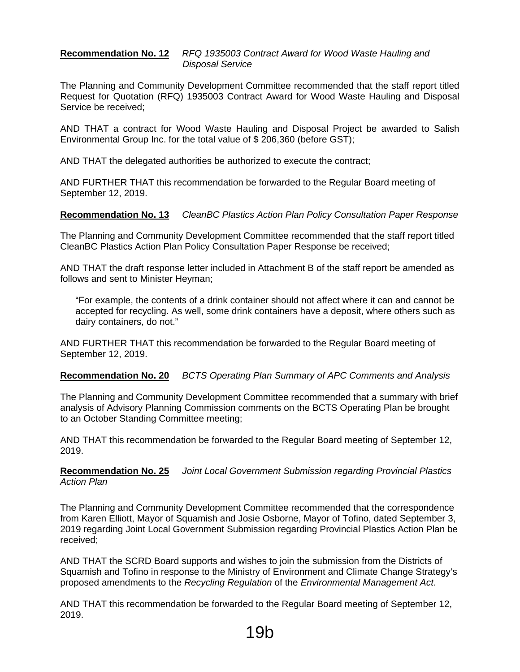#### **Recommendation No. 12** *RFQ 1935003 Contract Award for Wood Waste Hauling and Disposal Service*

The Planning and Community Development Committee recommended that the staff report titled Request for Quotation (RFQ) 1935003 Contract Award for Wood Waste Hauling and Disposal Service be received;

AND THAT a contract for Wood Waste Hauling and Disposal Project be awarded to Salish Environmental Group Inc. for the total value of \$ 206,360 (before GST);

AND THAT the delegated authorities be authorized to execute the contract;

AND FURTHER THAT this recommendation be forwarded to the Regular Board meeting of September 12, 2019.

#### **Recommendation No. 13** *CleanBC Plastics Action Plan Policy Consultation Paper Response*

The Planning and Community Development Committee recommended that the staff report titled CleanBC Plastics Action Plan Policy Consultation Paper Response be received;

AND THAT the draft response letter included in Attachment B of the staff report be amended as follows and sent to Minister Heyman;

"For example, the contents of a drink container should not affect where it can and cannot be accepted for recycling. As well, some drink containers have a deposit, where others such as dairy containers, do not."

AND FURTHER THAT this recommendation be forwarded to the Regular Board meeting of September 12, 2019.

#### **Recommendation No. 20** *BCTS Operating Plan Summary of APC Comments and Analysis*

The Planning and Community Development Committee recommended that a summary with brief analysis of Advisory Planning Commission comments on the BCTS Operating Plan be brought to an October Standing Committee meeting;

AND THAT this recommendation be forwarded to the Regular Board meeting of September 12, 2019.

#### **Recommendation No. 25** *Joint Local Government Submission regarding Provincial Plastics Action Plan*

The Planning and Community Development Committee recommended that the correspondence from Karen Elliott, Mayor of Squamish and Josie Osborne, Mayor of Tofino, dated September 3, 2019 regarding Joint Local Government Submission regarding Provincial Plastics Action Plan be received;

AND THAT the SCRD Board supports and wishes to join the submission from the Districts of Squamish and Tofino in response to the Ministry of Environment and Climate Change Strategy's proposed amendments to the *Recycling Regulation* of the *Environmental Management Act*.

AND THAT this recommendation be forwarded to the Regular Board meeting of September 12, 2019.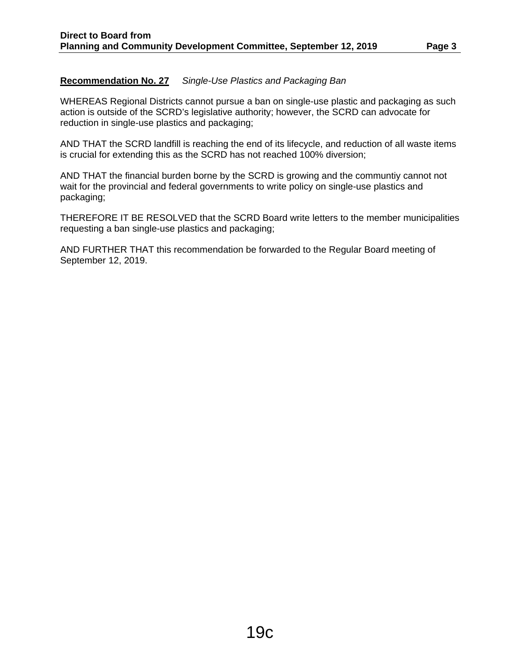#### **Recommendation No. 27** *Single-Use Plastics and Packaging Ban*

WHEREAS Regional Districts cannot pursue a ban on single-use plastic and packaging as such action is outside of the SCRD's legislative authority; however, the SCRD can advocate for reduction in single-use plastics and packaging;

AND THAT the SCRD landfill is reaching the end of its lifecycle, and reduction of all waste items is crucial for extending this as the SCRD has not reached 100% diversion;

AND THAT the financial burden borne by the SCRD is growing and the communtiy cannot not wait for the provincial and federal governments to write policy on single-use plastics and packaging;

THEREFORE IT BE RESOLVED that the SCRD Board write letters to the member municipalities requesting a ban single-use plastics and packaging;

AND FURTHER THAT this recommendation be forwarded to the Regular Board meeting of September 12, 2019.